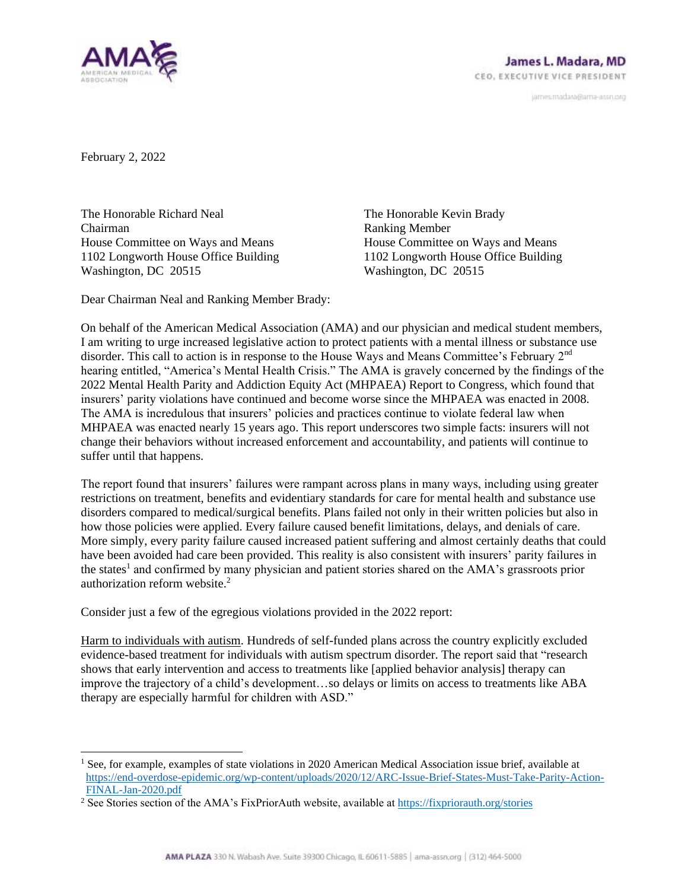

janves.madara@ama-assn.org

February 2, 2022

The Honorable Richard Neal Chairman House Committee on Ways and Means 1102 Longworth House Office Building Washington, DC 20515

The Honorable Kevin Brady Ranking Member House Committee on Ways and Means 1102 Longworth House Office Building Washington, DC 20515

Dear Chairman Neal and Ranking Member Brady:

On behalf of the American Medical Association (AMA) and our physician and medical student members, I am writing to urge increased legislative action to protect patients with a mental illness or substance use disorder. This call to action is in response to the House Ways and Means Committee's February 2<sup>nd</sup> hearing entitled, "America's Mental Health Crisis." The AMA is gravely concerned by the findings of the 2022 Mental Health Parity and Addiction Equity Act (MHPAEA) Report to Congress, which found that insurers' parity violations have continued and become worse since the MHPAEA was enacted in 2008. The AMA is incredulous that insurers' policies and practices continue to violate federal law when MHPAEA was enacted nearly 15 years ago. This report underscores two simple facts: insurers will not change their behaviors without increased enforcement and accountability, and patients will continue to suffer until that happens.

The report found that insurers' failures were rampant across plans in many ways, including using greater restrictions on treatment, benefits and evidentiary standards for care for mental health and substance use disorders compared to medical/surgical benefits. Plans failed not only in their written policies but also in how those policies were applied. Every failure caused benefit limitations, delays, and denials of care. More simply, every parity failure caused increased patient suffering and almost certainly deaths that could have been avoided had care been provided. This reality is also consistent with insurers' parity failures in the states<sup>1</sup> and confirmed by many physician and patient stories shared on the AMA's grassroots prior authorization reform website. 2

Consider just a few of the egregious violations provided in the 2022 report:

Harm to individuals with autism. Hundreds of self-funded plans across the country explicitly excluded evidence-based treatment for individuals with autism spectrum disorder. The report said that "research shows that early intervention and access to treatments like [applied behavior analysis] therapy can improve the trajectory of a child's development…so delays or limits on access to treatments like ABA therapy are especially harmful for children with ASD."

<sup>&</sup>lt;sup>1</sup> See, for example, examples of state violations in 2020 American Medical Association issue brief, available at [https://end-overdose-epidemic.org/wp-content/uploads/2020/12/ARC-Issue-Brief-States-Must-Take-Parity-Action-](https://end-overdose-epidemic.org/wp-content/uploads/2020/12/ARC-Issue-Brief-States-Must-Take-Parity-Action-FINAL-Jan-2020.pdf)[FINAL-Jan-2020.pdf](https://end-overdose-epidemic.org/wp-content/uploads/2020/12/ARC-Issue-Brief-States-Must-Take-Parity-Action-FINAL-Jan-2020.pdf)

<sup>&</sup>lt;sup>2</sup> See Stories section of the AMA's FixPriorAuth website, available at<https://fixpriorauth.org/stories>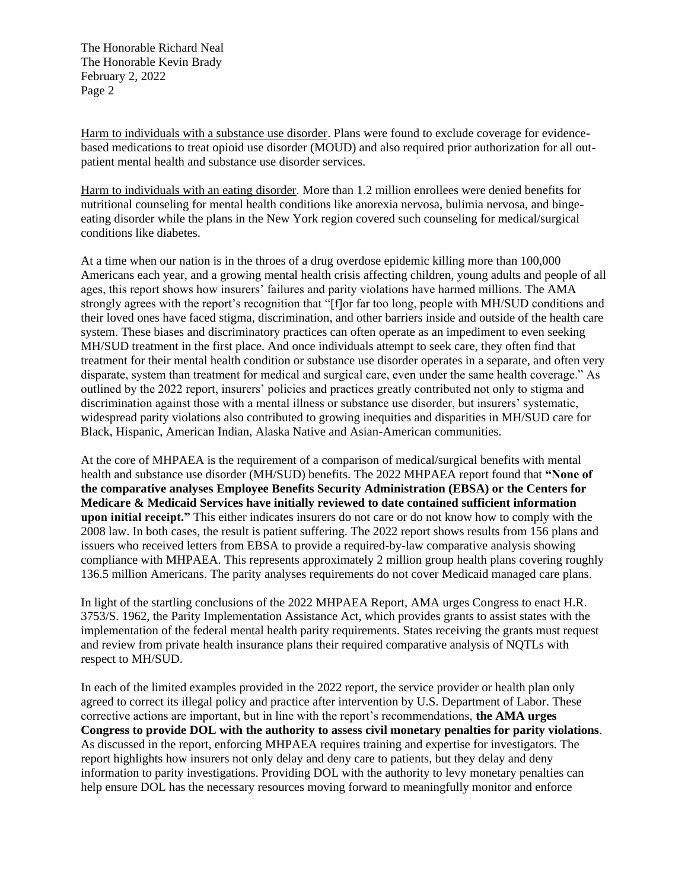The Honorable Richard Neal The Honorable Kevin Brady February 2, 2022 Page 2

Harm to individuals with a substance use disorder. Plans were found to exclude coverage for evidencebased medications to treat opioid use disorder (MOUD) and also required prior authorization for all outpatient mental health and substance use disorder services.

Harm to individuals with an eating disorder. More than 1.2 million enrollees were denied benefits for nutritional counseling for mental health conditions like anorexia nervosa, bulimia nervosa, and bingeeating disorder while the plans in the New York region covered such counseling for medical/surgical conditions like diabetes.

At a time when our nation is in the throes of a drug overdose epidemic killing more than 100,000 Americans each year, and a growing mental health crisis affecting children, young adults and people of all ages, this report shows how insurers' failures and parity violations have harmed millions. The AMA strongly agrees with the report's recognition that "[f]or far too long, people with MH/SUD conditions and their loved ones have faced stigma, discrimination, and other barriers inside and outside of the health care system. These biases and discriminatory practices can often operate as an impediment to even seeking MH/SUD treatment in the first place. And once individuals attempt to seek care, they often find that treatment for their mental health condition or substance use disorder operates in a separate, and often very disparate, system than treatment for medical and surgical care, even under the same health coverage." As outlined by the 2022 report, insurers' policies and practices greatly contributed not only to stigma and discrimination against those with a mental illness or substance use disorder, but insurers' systematic, widespread parity violations also contributed to growing inequities and disparities in MH/SUD care for Black, Hispanic, American Indian, Alaska Native and Asian-American communities.

At the core of MHPAEA is the requirement of a comparison of medical/surgical benefits with mental health and substance use disorder (MH/SUD) benefits. The 2022 MHPAEA report found that **"None of the comparative analyses Employee Benefits Security Administration (EBSA) or the Centers for Medicare & Medicaid Services have initially reviewed to date contained sufficient information upon initial receipt."** This either indicates insurers do not care or do not know how to comply with the 2008 law. In both cases, the result is patient suffering. The 2022 report shows results from 156 plans and issuers who received letters from EBSA to provide a required-by-law comparative analysis showing compliance with MHPAEA. This represents approximately 2 million group health plans covering roughly 136.5 million Americans. The parity analyses requirements do not cover Medicaid managed care plans.

In light of the startling conclusions of the 2022 MHPAEA Report, AMA urges Congress to enact H.R. 3753/S. 1962, the Parity Implementation Assistance Act, which provides grants to assist states with the implementation of the federal mental health parity requirements. States receiving the grants must request and review from private health insurance plans their required comparative analysis of NQTLs with respect to MH/SUD.

In each of the limited examples provided in the 2022 report, the service provider or health plan only agreed to correct its illegal policy and practice after intervention by U.S. Department of Labor. These corrective actions are important, but in line with the report's recommendations, **the AMA urges Congress to provide DOL with the authority to assess civil monetary penalties for parity violations**. As discussed in the report, enforcing MHPAEA requires training and expertise for investigators. The report highlights how insurers not only delay and deny care to patients, but they delay and deny information to parity investigations. Providing DOL with the authority to levy monetary penalties can help ensure DOL has the necessary resources moving forward to meaningfully monitor and enforce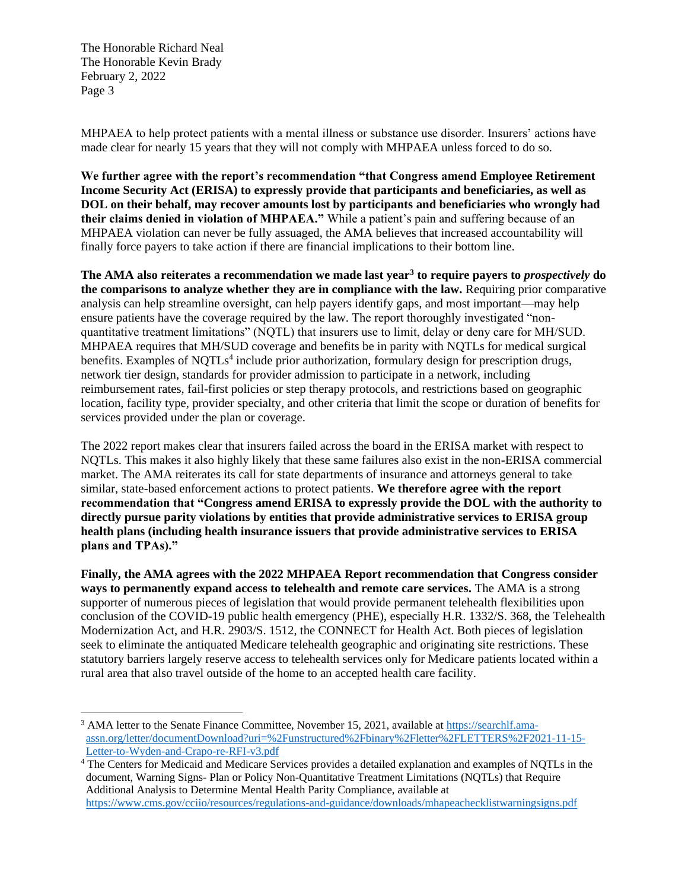The Honorable Richard Neal The Honorable Kevin Brady February 2, 2022 Page 3

MHPAEA to help protect patients with a mental illness or substance use disorder. Insurers' actions have made clear for nearly 15 years that they will not comply with MHPAEA unless forced to do so.

**We further agree with the report's recommendation "that Congress amend Employee Retirement Income Security Act (ERISA) to expressly provide that participants and beneficiaries, as well as DOL on their behalf, may recover amounts lost by participants and beneficiaries who wrongly had their claims denied in violation of MHPAEA."** While a patient's pain and suffering because of an MHPAEA violation can never be fully assuaged, the AMA believes that increased accountability will finally force payers to take action if there are financial implications to their bottom line.

**The AMA also reiterates a recommendation we made last year<sup>3</sup> to require payers to** *prospectively* **do the comparisons to analyze whether they are in compliance with the law.** Requiring prior comparative analysis can help streamline oversight, can help payers identify gaps, and most important—may help ensure patients have the coverage required by the law. The report thoroughly investigated "nonquantitative treatment limitations" (NQTL) that insurers use to limit, delay or deny care for MH/SUD. MHPAEA requires that MH/SUD coverage and benefits be in parity with NQTLs for medical surgical benefits. Examples of NQTLs<sup>4</sup> include prior authorization, formulary design for prescription drugs, network tier design, standards for provider admission to participate in a network, including reimbursement rates, fail-first policies or step therapy protocols, and restrictions based on geographic location, facility type, provider specialty, and other criteria that limit the scope or duration of benefits for services provided under the plan or coverage.

The 2022 report makes clear that insurers failed across the board in the ERISA market with respect to NQTLs. This makes it also highly likely that these same failures also exist in the non-ERISA commercial market. The AMA reiterates its call for state departments of insurance and attorneys general to take similar, state-based enforcement actions to protect patients. **We therefore agree with the report recommendation that "Congress amend ERISA to expressly provide the DOL with the authority to directly pursue parity violations by entities that provide administrative services to ERISA group health plans (including health insurance issuers that provide administrative services to ERISA plans and TPAs)."**

**Finally, the AMA agrees with the 2022 MHPAEA Report recommendation that Congress consider ways to permanently expand access to telehealth and remote care services.** The AMA is a strong supporter of numerous pieces of legislation that would provide permanent telehealth flexibilities upon conclusion of the COVID-19 public health emergency (PHE), especially H.R. 1332/S. 368, the Telehealth Modernization Act, and H.R. 2903/S. 1512, the CONNECT for Health Act. Both pieces of legislation seek to eliminate the antiquated Medicare telehealth geographic and originating site restrictions. These statutory barriers largely reserve access to telehealth services only for Medicare patients located within a rural area that also travel outside of the home to an accepted health care facility.

<sup>&</sup>lt;sup>3</sup> AMA letter to the Senate Finance Committee, November 15, 2021, available at [https://searchlf.ama](https://searchlf.ama-assn.org/letter/documentDownload?uri=%2Funstructured%2Fbinary%2Fletter%2FLETTERS%2F2021-11-15-Letter-to-Wyden-and-Crapo-re-RFI-v3.pdf)[assn.org/letter/documentDownload?uri=%2Funstructured%2Fbinary%2Fletter%2FLETTERS%2F2021-11-15-](https://searchlf.ama-assn.org/letter/documentDownload?uri=%2Funstructured%2Fbinary%2Fletter%2FLETTERS%2F2021-11-15-Letter-to-Wyden-and-Crapo-re-RFI-v3.pdf) [Letter-to-Wyden-and-Crapo-re-RFI-v3.pdf](https://searchlf.ama-assn.org/letter/documentDownload?uri=%2Funstructured%2Fbinary%2Fletter%2FLETTERS%2F2021-11-15-Letter-to-Wyden-and-Crapo-re-RFI-v3.pdf)

<sup>4</sup> The Centers for Medicaid and Medicare Services provides a detailed explanation and examples of NQTLs in the document, Warning Signs- Plan or Policy Non-Quantitative Treatment Limitations (NQTLs) that Require Additional Analysis to Determine Mental Health Parity Compliance, available at <https://www.cms.gov/cciio/resources/regulations-and-guidance/downloads/mhapeachecklistwarningsigns.pdf>